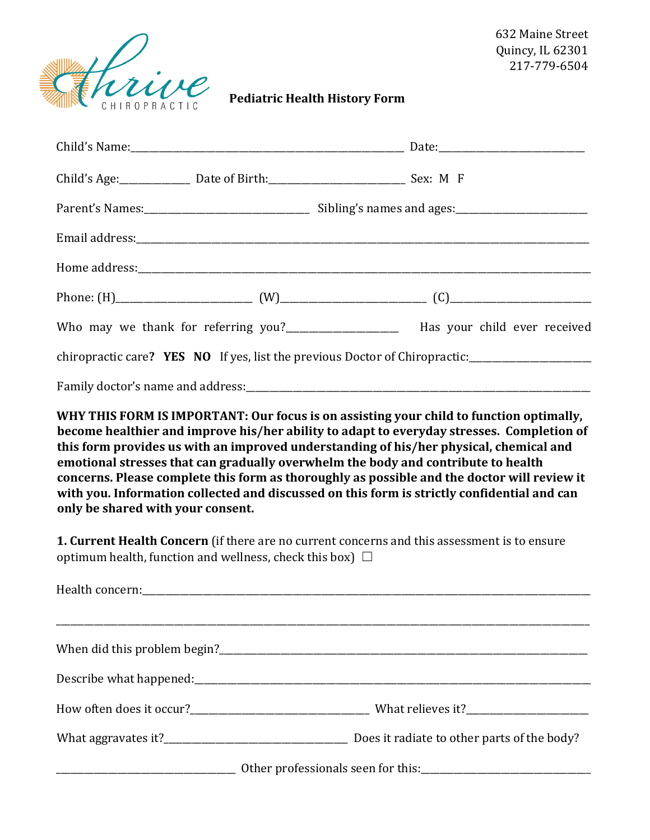

632 Maine Street Quincy, IL 62301 217-779-6504

**Pediatric Health History Form** 

| Child's Age: ____________________ Date of Birth: ________________________________ Sex: M F |  |                                                                                                                                                                                                                                                                                                                                                                                                                                                                                                                                                                   |
|--------------------------------------------------------------------------------------------|--|-------------------------------------------------------------------------------------------------------------------------------------------------------------------------------------------------------------------------------------------------------------------------------------------------------------------------------------------------------------------------------------------------------------------------------------------------------------------------------------------------------------------------------------------------------------------|
|                                                                                            |  |                                                                                                                                                                                                                                                                                                                                                                                                                                                                                                                                                                   |
|                                                                                            |  |                                                                                                                                                                                                                                                                                                                                                                                                                                                                                                                                                                   |
|                                                                                            |  |                                                                                                                                                                                                                                                                                                                                                                                                                                                                                                                                                                   |
|                                                                                            |  |                                                                                                                                                                                                                                                                                                                                                                                                                                                                                                                                                                   |
|                                                                                            |  | Who may we thank for referring you?_______________________ Has your child ever received                                                                                                                                                                                                                                                                                                                                                                                                                                                                           |
|                                                                                            |  | chiropractic care? YES NO If yes, list the previous Doctor of Chiropractic:________________________                                                                                                                                                                                                                                                                                                                                                                                                                                                               |
|                                                                                            |  |                                                                                                                                                                                                                                                                                                                                                                                                                                                                                                                                                                   |
| only be shared with your consent.                                                          |  | WHY THIS FORM IS IMPORTANT: Our focus is on assisting your child to function optimally,<br>become healthier and improve his/her ability to adapt to everyday stresses. Completion of<br>this form provides us with an improved understanding of his/her physical, chemical and<br>emotional stresses that can gradually overwhelm the body and contribute to health<br>concerns. Please complete this form as thoroughly as possible and the doctor will review it<br>with you. Information collected and discussed on this form is strictly confidential and can |
| optimum health, function and wellness, check this box) $\Box$                              |  | 1. Current Health Concern (if there are no current concerns and this assessment is to ensure                                                                                                                                                                                                                                                                                                                                                                                                                                                                      |
|                                                                                            |  |                                                                                                                                                                                                                                                                                                                                                                                                                                                                                                                                                                   |
| When did this problem begin?                                                               |  |                                                                                                                                                                                                                                                                                                                                                                                                                                                                                                                                                                   |

Describe what happened:\_\_\_\_\_\_\_\_\_\_\_\_\_\_\_\_\_\_\_\_\_\_\_\_\_\_\_\_\_\_\_\_\_\_\_\_\_\_\_\_\_\_\_\_\_\_\_\_\_\_\_\_\_\_\_\_\_\_\_\_\_\_\_\_\_\_\_\_\_\_\_\_\_\_\_\_\_\_\_\_\_\_\_\_ How often does it occur?\_\_\_\_\_\_\_\_\_\_\_\_\_\_\_\_\_\_\_\_\_\_\_\_\_\_\_\_\_\_\_\_\_\_\_\_\_\_ What relieves it?\_\_\_\_\_\_\_\_\_\_\_\_\_\_\_\_\_\_\_\_\_\_\_\_\_\_ What aggravates it?\_\_\_\_\_\_\_\_\_\_\_\_\_\_\_\_\_\_\_\_\_\_\_\_\_\_\_\_\_\_\_\_\_\_\_\_\_\_\_ Does it radiate to other parts of the body?

\_\_\_\_\_\_\_\_\_\_\_\_\_\_\_\_\_\_\_\_\_\_\_\_\_\_\_\_\_\_\_\_\_\_\_\_\_\_ Other professionals seen for this:\_\_\_\_\_\_\_\_\_\_\_\_\_\_\_\_\_\_\_\_\_\_\_\_\_\_\_\_\_\_\_\_\_\_\_\_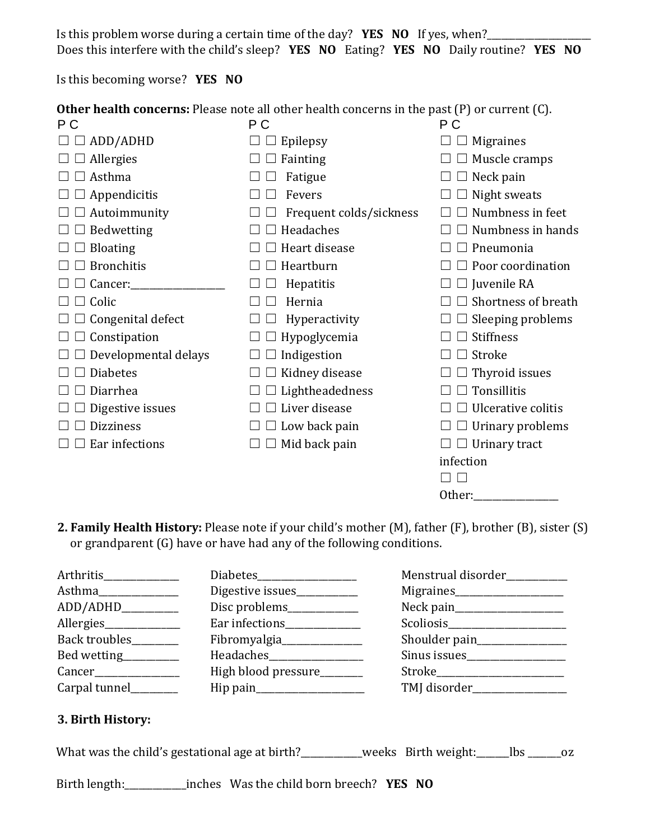Is this problem worse during a certain time of the day? **YES NO** If yes, when?\_\_\_\_\_\_\_\_\_\_\_\_\_\_\_\_\_\_\_\_\_\_ Does this interfere with the child's sleep? **YES NO** Eating? **YES NO** Daily routine? **YES NO**

Is this becoming worse? **YES NO**

| <b>Other health concerns:</b> Please note all other health concerns in the past (P) or current (C). |                         |                     |  |
|-----------------------------------------------------------------------------------------------------|-------------------------|---------------------|--|
| P C                                                                                                 | P C                     | P C                 |  |
| ADD/ADHD                                                                                            | Epilepsy                | <b>Migraines</b>    |  |
| Allergies                                                                                           | Fainting                | Muscle cramps       |  |
| Asthma                                                                                              | Fatigue                 | Neck pain           |  |
| Appendicitis                                                                                        | Fevers                  | Night sweats        |  |
| Autoimmunity                                                                                        | Frequent colds/sickness | Numbness in feet    |  |
| Bedwetting                                                                                          | Headaches               | Numbness in hands   |  |
| <b>Bloating</b>                                                                                     | Heart disease           | Pneumonia           |  |
| <b>Bronchitis</b>                                                                                   | Heartburn               | Poor coordination   |  |
| Cancer:                                                                                             | Hepatitis               | Juvenile RA         |  |
| Colic                                                                                               | Hernia                  | Shortness of breath |  |
| Congenital defect                                                                                   | Hyperactivity           | Sleeping problems   |  |
| Constipation                                                                                        | Hypoglycemia            | <b>Stiffness</b>    |  |
| Developmental delays                                                                                | Indigestion             | Stroke              |  |
| <b>Diabetes</b>                                                                                     | Kidney disease          | Thyroid issues      |  |
| Diarrhea                                                                                            | Lightheadedness         | Tonsillitis         |  |
| Digestive issues                                                                                    | Liver disease           | Ulcerative colitis  |  |
| <b>Dizziness</b>                                                                                    | Low back pain           | Urinary problems    |  |
| Ear infections                                                                                      | Mid back pain           | Urinary tract       |  |
|                                                                                                     |                         | infection           |  |
|                                                                                                     |                         |                     |  |
|                                                                                                     |                         | Other:              |  |

**2. Family Health History:** Please note if your child's mother (M), father (F), brother (B), sister (S) or grandparent (G) have or have had any of the following conditions.

| Arthritis            |                              | Menstrual disorder_________ |
|----------------------|------------------------------|-----------------------------|
| Asthma               | Digestive issues____________ | Migraines<br>Migraines      |
| ADD/ADHD________     | Disc problems_____________   |                             |
| Allergies            | Ear infections               |                             |
| Back troubles        | Fibromyalgia                 |                             |
| Bed wetting          |                              | Sinus issues                |
|                      | High blood pressure_______   | Stroke________________      |
| Carpal tunnel_______ |                              | TMJ disorder____________    |

## **3. Birth History:**

What was the child's gestational age at birth?\_\_\_\_\_\_\_\_\_weeks Birth weight:\_\_\_\_\_\_lbs \_\_\_\_\_\_\_ oz

Birth length:\_\_\_\_\_\_\_\_\_\_\_\_\_inches Was the child born breech? **YES NO**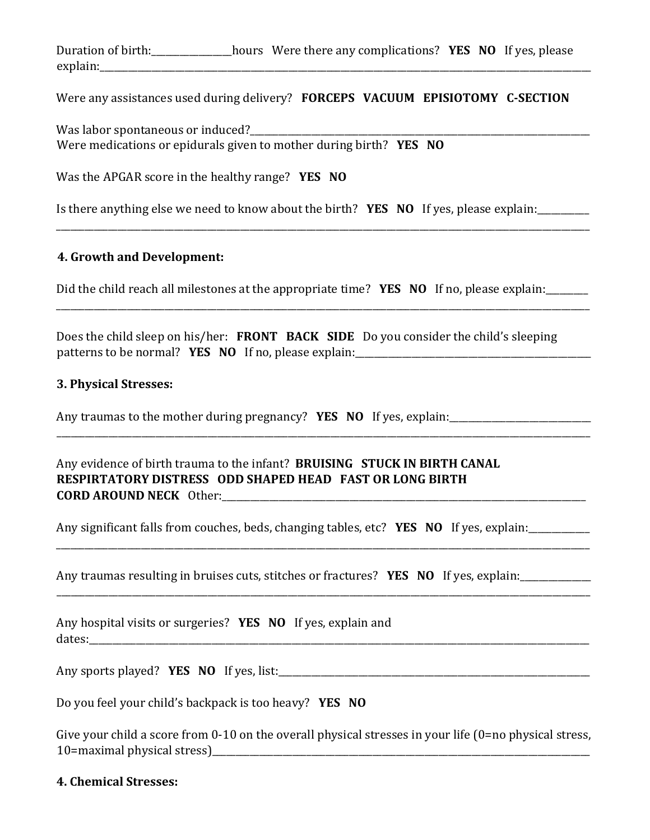Duration of birth:\_\_\_\_\_\_\_\_\_\_\_\_\_\_\_\_\_hours Were there any complications? **YES NO** If yes, please explain:

Were any assistances used during delivery? **FORCEPS VACUUM EPISIOTOMY C-SECTION**

Was labor spontaneous or induced? Were medications or epidurals given to mother during birth? **YES NO**

Was the APGAR score in the healthy range? **YES NO**

Is there anything else we need to know about the birth? **YES NO** If yes, please explain:\_\_\_\_\_\_\_\_\_\_\_

## **4. Growth and Development:**

Did the child reach all milestones at the appropriate time? **YES NO** If no, please explain:

\_\_\_\_\_\_\_\_\_\_\_\_\_\_\_\_\_\_\_\_\_\_\_\_\_\_\_\_\_\_\_\_\_\_\_\_\_\_\_\_\_\_\_\_\_\_\_\_\_\_\_\_\_\_\_\_\_\_\_\_\_\_\_\_\_\_\_\_\_\_\_\_\_\_\_\_\_\_\_\_\_\_\_\_\_\_\_\_\_\_\_\_\_\_\_\_\_\_\_\_\_\_\_\_\_\_\_\_\_\_\_\_\_

\_\_\_\_\_\_\_\_\_\_\_\_\_\_\_\_\_\_\_\_\_\_\_\_\_\_\_\_\_\_\_\_\_\_\_\_\_\_\_\_\_\_\_\_\_\_\_\_\_\_\_\_\_\_\_\_\_\_\_\_\_\_\_\_\_\_\_\_\_\_\_\_\_\_\_\_\_\_\_\_\_\_\_\_\_\_\_\_\_\_\_\_\_\_\_\_\_\_\_\_\_\_\_\_\_\_\_\_\_\_\_\_\_

\_\_\_\_\_\_\_\_\_\_\_\_\_\_\_\_\_\_\_\_\_\_\_\_\_\_\_\_\_\_\_\_\_\_\_\_\_\_\_\_\_\_\_\_\_\_\_\_\_\_\_\_\_\_\_\_\_\_\_\_\_\_\_\_\_\_\_\_\_\_\_\_\_\_\_\_\_\_\_\_\_\_\_\_\_\_\_\_\_\_\_\_\_\_\_\_\_\_\_\_\_\_\_\_\_\_\_\_\_\_\_\_\_

\_\_\_\_\_\_\_\_\_\_\_\_\_\_\_\_\_\_\_\_\_\_\_\_\_\_\_\_\_\_\_\_\_\_\_\_\_\_\_\_\_\_\_\_\_\_\_\_\_\_\_\_\_\_\_\_\_\_\_\_\_\_\_\_\_\_\_\_\_\_\_\_\_\_\_\_\_\_\_\_\_\_\_\_\_\_\_\_\_\_\_\_\_\_\_\_\_\_\_\_\_\_\_\_\_\_\_\_\_\_\_\_\_

\_\_\_\_\_\_\_\_\_\_\_\_\_\_\_\_\_\_\_\_\_\_\_\_\_\_\_\_\_\_\_\_\_\_\_\_\_\_\_\_\_\_\_\_\_\_\_\_\_\_\_\_\_\_\_\_\_\_\_\_\_\_\_\_\_\_\_\_\_\_\_\_\_\_\_\_\_\_\_\_\_\_\_\_\_\_\_\_\_\_\_\_\_\_\_\_\_\_\_\_\_\_\_\_\_\_\_\_\_\_\_\_\_

Does the child sleep on his/her: **FRONT BACK SIDE** Do you consider the child's sleeping patterns to be normal? **YES NO** If no, please explain:\_\_\_\_\_\_\_\_\_\_\_\_\_\_\_\_\_\_\_\_\_\_\_\_\_\_\_\_\_\_\_\_\_\_\_\_\_\_\_\_\_\_\_\_\_\_\_\_\_\_

#### **3. Physical Stresses:**

Any traumas to the mother during pregnancy? **YES NO** If yes, explain:

Any evidence of birth trauma to the infant? **BRUISING STUCK IN BIRTH CANAL RESPIRTATORY DISTRESS ODD SHAPED HEAD FAST OR LONG BIRTH CORD AROUND NECK** Other:\_\_\_\_\_\_\_\_\_\_\_\_\_\_\_\_\_\_\_\_\_\_\_\_\_\_\_\_\_\_\_\_\_\_\_\_\_\_\_\_\_\_\_\_\_\_\_\_\_\_\_\_\_\_\_\_\_\_\_\_\_\_\_\_\_\_\_\_\_\_\_\_\_\_\_\_\_

Any significant falls from couches, beds, changing tables, etc? **YES NO** If yes, explain:\_\_\_\_\_\_\_\_\_\_\_\_\_

Any traumas resulting in bruises cuts, stitches or fractures? **YES NO** If yes, explain:

Any hospital visits or surgeries? **YES NO** If yes, explain and  $data$  tes:

Any sports played? **YES NO** If yes, list:

Do you feel your child's backpack is too heavy? **YES NO**

Give your child a score from 0-10 on the overall physical stresses in your life (0=no physical stress, 10=maximal physical stress)\_\_\_\_\_\_\_\_\_\_\_\_\_\_\_\_\_\_\_\_\_\_\_\_\_\_\_\_\_\_\_\_\_\_\_\_\_\_\_\_\_\_\_\_\_\_\_\_\_\_\_\_\_\_\_\_\_\_\_\_\_\_\_\_\_\_\_\_\_\_\_\_\_\_\_\_\_\_\_\_

#### **4. Chemical Stresses:**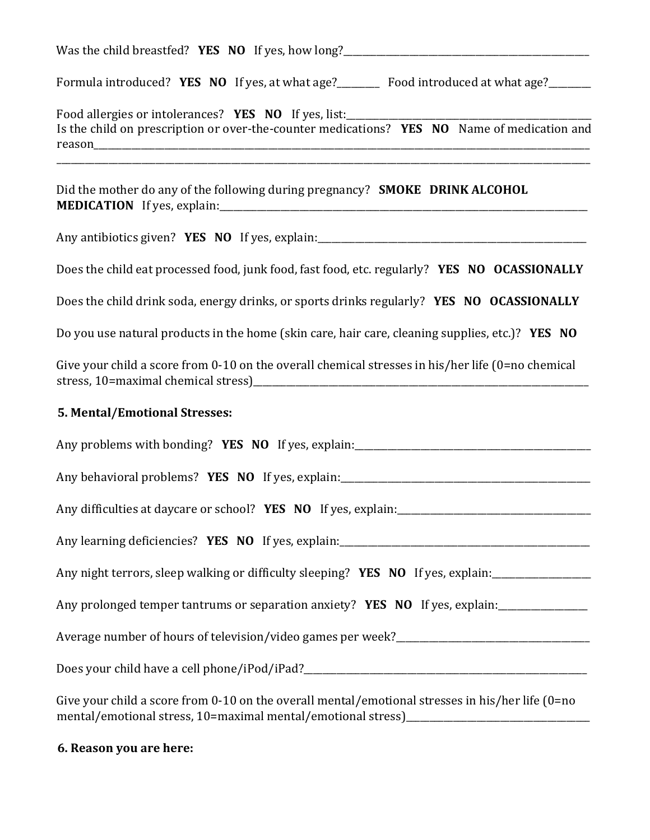| Formula introduced? YES NO If yes, at what age?________ Food introduced at what age?______                         |
|--------------------------------------------------------------------------------------------------------------------|
| Is the child on prescription or over-the-counter medications? YES NO Name of medication and                        |
| Did the mother do any of the following during pregnancy? <b>SMOKE</b> DRINK ALCOHOL                                |
| Any antibiotics given? <b>YES NO</b> If yes, explain: <u>Any antibiotics</u> given? <b>YES NO</b> If yes, explain: |
| Does the child eat processed food, junk food, fast food, etc. regularly? YES NO OCASSIONALLY                       |
| Does the child drink soda, energy drinks, or sports drinks regularly? YES NO OCASSIONALLY                          |
| Do you use natural products in the home (skin care, hair care, cleaning supplies, etc.)? YES NO                    |
| Give your child a score from 0-10 on the overall chemical stresses in his/her life (0=no chemical                  |
| 5. Mental/Emotional Stresses:                                                                                      |
|                                                                                                                    |
|                                                                                                                    |
| Any difficulties at daycare or school? YES NO If yes, explain:                                                     |
|                                                                                                                    |
| Any night terrors, sleep walking or difficulty sleeping? YES NO If yes, explain:                                   |
| Any prolonged temper tantrums or separation anxiety? YES NO If yes, explain:                                       |
|                                                                                                                    |
|                                                                                                                    |
| Give your child a score from 0-10 on the overall mental/emotional stresses in his/her life (0=no                   |

# **6. Reason you are here:**